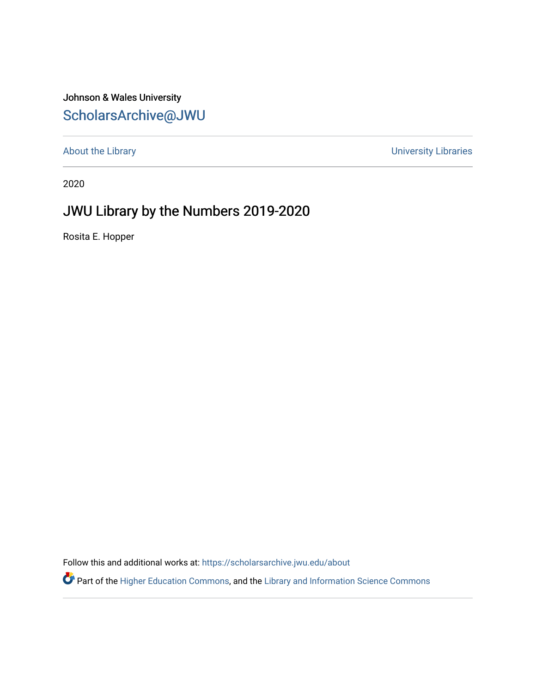## Johnson & Wales University [ScholarsArchive@JWU](https://scholarsarchive.jwu.edu/)

[About the Library](https://scholarsarchive.jwu.edu/about) **About the Library** About the Libraries **About the Libraries** About the Libraries

2020

## JWU Library by the Numbers 2019-2020

Rosita E. Hopper

Follow this and additional works at: [https://scholarsarchive.jwu.edu/about](https://scholarsarchive.jwu.edu/about?utm_source=scholarsarchive.jwu.edu%2Fabout%2F4&utm_medium=PDF&utm_campaign=PDFCoverPages) 

Part of the [Higher Education Commons,](http://network.bepress.com/hgg/discipline/1245?utm_source=scholarsarchive.jwu.edu%2Fabout%2F4&utm_medium=PDF&utm_campaign=PDFCoverPages) and the [Library and Information Science Commons](http://network.bepress.com/hgg/discipline/1018?utm_source=scholarsarchive.jwu.edu%2Fabout%2F4&utm_medium=PDF&utm_campaign=PDFCoverPages)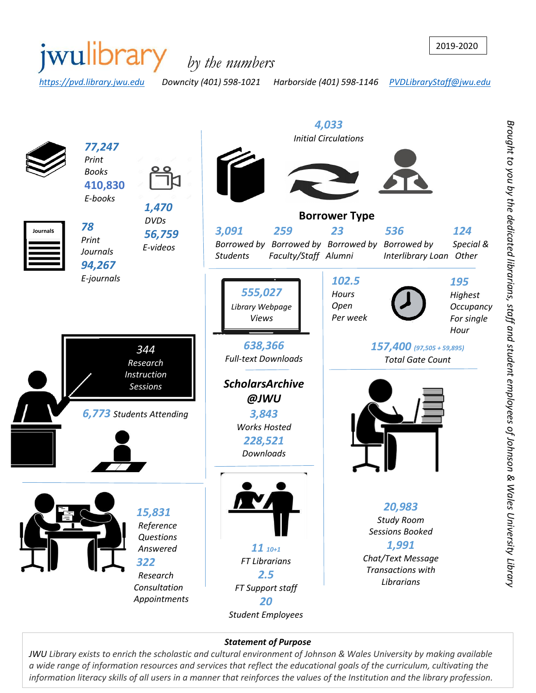

#### *Statement of Purpose*

*JWU Library exists to enrich the scholastic and cultural environment of Johnson & Wales University by making available a wide range of information resources and services that reflect the educational goals of the curriculum, cultivating the information literacy skills of all users in a manner that reinforces the values of the Institution and the library profession.*